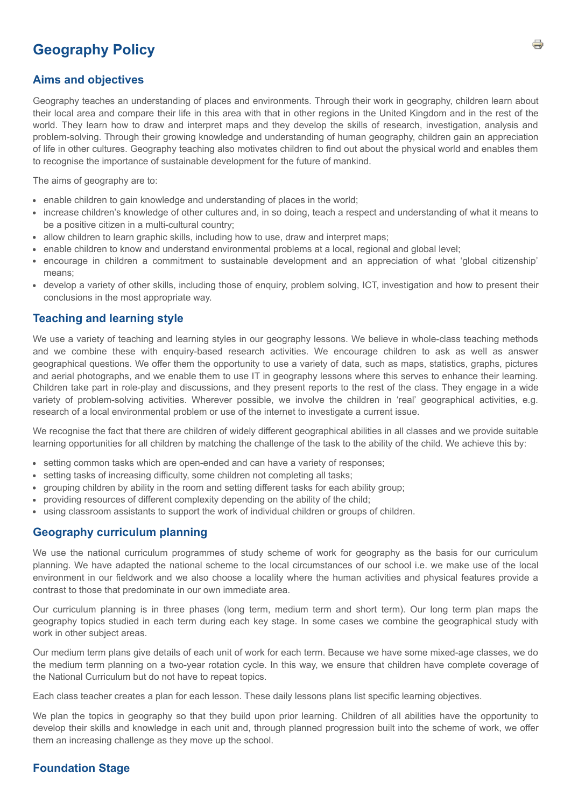# **Geography Policy**

# **Aims and objectives**

Geography teaches an understanding of places and environments. Through their work in geography, children learn about their local area and compare their life in this area with that in other regions in the United Kingdom and in the rest of the world. They learn how to draw and interpret maps and they develop the skills of research, investigation, analysis and problem-solving. Through their growing knowledge and understanding of human geography, children gain an appreciation of life in other cultures. Geography teaching also motivates children to find out about the physical world and enables them to recognise the importance of sustainable development for the future of mankind.

The aims of geography are to:

- enable children to gain knowledge and understanding of places in the world;
- increase children's knowledge of other cultures and, in so doing, teach a respect and understanding of what it means to be a positive citizen in a multi-cultural country;
- allow children to learn graphic skills, including how to use, draw and interpret maps;
- enable children to know and understand environmental problems at a local, regional and global level;
- encourage in children a commitment to sustainable development and an appreciation of what 'global citizenship' means;
- develop a variety of other skills, including those of enquiry, problem solving, ICT, investigation and how to present their conclusions in the most appropriate way.

# **Teaching and learning style**

We use a variety of teaching and learning styles in our geography lessons. We believe in whole-class teaching methods and we combine these with enquiry-based research activities. We encourage children to ask as well as answer geographical questions. We offer them the opportunity to use a variety of data, such as maps, statistics, graphs, pictures and aerial photographs, and we enable them to use IT in geography lessons where this serves to enhance their learning. Children take part in role-play and discussions, and they present reports to the rest of the class. They engage in a wide variety of problem-solving activities. Wherever possible, we involve the children in 'real' geographical activities, e.g. research of a local environmental problem or use of the internet to investigate a current issue.

We recognise the fact that there are children of widely different geographical abilities in all classes and we provide suitable learning opportunities for all children by matching the challenge of the task to the ability of the child. We achieve this by:

- setting common tasks which are open-ended and can have a variety of responses;
- setting tasks of increasing difficulty, some children not completing all tasks;
- grouping children by ability in the room and setting different tasks for each ability group;
- providing resources of different complexity depending on the ability of the child;
- using classroom assistants to support the work of individual children or groups of children.

# **Geography curriculum planning**

We use the national curriculum programmes of study scheme of work for geography as the basis for our curriculum planning. We have adapted the national scheme to the local circumstances of our school i.e. we make use of the local environment in our fieldwork and we also choose a locality where the human activities and physical features provide a contrast to those that predominate in our own immediate area.

Our curriculum planning is in three phases (long term, medium term and short term). Our long term plan maps the geography topics studied in each term during each key stage. In some cases we combine the geographical study with work in other subject areas.

Our medium term plans give details of each unit of work for each term. Because we have some mixed-age classes, we do the medium term planning on a two-year rotation cycle. In this way, we ensure that children have complete coverage of the National Curriculum but do not have to repeat topics.

Each class teacher creates a plan for each lesson. These daily lessons plans list specific learning objectives.

We plan the topics in geography so that they build upon prior learning. Children of all abilities have the opportunity to develop their skills and knowledge in each unit and, through planned progression built into the scheme of work, we offer them an increasing challenge as they move up the school.

# **Foundation Stage**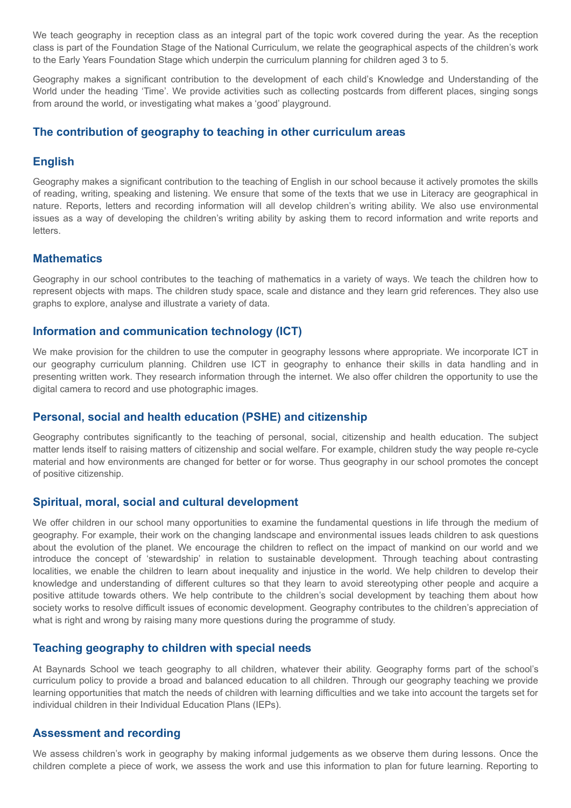We teach geography in reception class as an integral part of the topic work covered during the year. As the reception class is part of the Foundation Stage of the National Curriculum, we relate the geographical aspects of the children's work to the Early Years Foundation Stage which underpin the curriculum planning for children aged 3 to 5.

Geography makes a significant contribution to the development of each child's Knowledge and Understanding of the World under the heading 'Time'. We provide activities such as collecting postcards from different places, singing songs from around the world, or investigating what makes a 'good' playground.

#### **The contribution of geography to teaching in other curriculum areas**

#### **English**

Geography makes a significant contribution to the teaching of English in our school because it actively promotes the skills of reading, writing, speaking and listening. We ensure that some of the texts that we use in Literacy are geographical in nature. Reports, letters and recording information will all develop children's writing ability. We also use environmental issues as a way of developing the children's writing ability by asking them to record information and write reports and **letters** 

#### **Mathematics**

Geography in our school contributes to the teaching of mathematics in a variety of ways. We teach the children how to represent objects with maps. The children study space, scale and distance and they learn grid references. They also use graphs to explore, analyse and illustrate a variety of data.

#### **Information and communication technology (ICT)**

We make provision for the children to use the computer in geography lessons where appropriate. We incorporate ICT in our geography curriculum planning. Children use ICT in geography to enhance their skills in data handling and in presenting written work. They research information through the internet. We also offer children the opportunity to use the digital camera to record and use photographic images.

## **Personal, social and health education (PSHE) and citizenship**

Geography contributes significantly to the teaching of personal, social, citizenship and health education. The subject matter lends itself to raising matters of citizenship and social welfare. For example, children study the way people re-cycle material and how environments are changed for better or for worse. Thus geography in our school promotes the concept of positive citizenship.

#### **Spiritual, moral, social and cultural development**

We offer children in our school many opportunities to examine the fundamental questions in life through the medium of geography. For example, their work on the changing landscape and environmental issues leads children to ask questions about the evolution of the planet. We encourage the children to reflect on the impact of mankind on our world and we introduce the concept of 'stewardship' in relation to sustainable development. Through teaching about contrasting localities, we enable the children to learn about inequality and injustice in the world. We help children to develop their knowledge and understanding of different cultures so that they learn to avoid stereotyping other people and acquire a positive attitude towards others. We help contribute to the children's social development by teaching them about how society works to resolve difficult issues of economic development. Geography contributes to the children's appreciation of what is right and wrong by raising many more questions during the programme of study.

## **Teaching geography to children with special needs**

At Baynards School we teach geography to all children, whatever their ability. Geography forms part of the school's curriculum policy to provide a broad and balanced education to all children. Through our geography teaching we provide learning opportunities that match the needs of children with learning difficulties and we take into account the targets set for individual children in their Individual Education Plans (IEPs).

#### **Assessment and recording**

We assess children's work in geography by making informal judgements as we observe them during lessons. Once the children complete a piece of work, we assess the work and use this information to plan for future learning. Reporting to